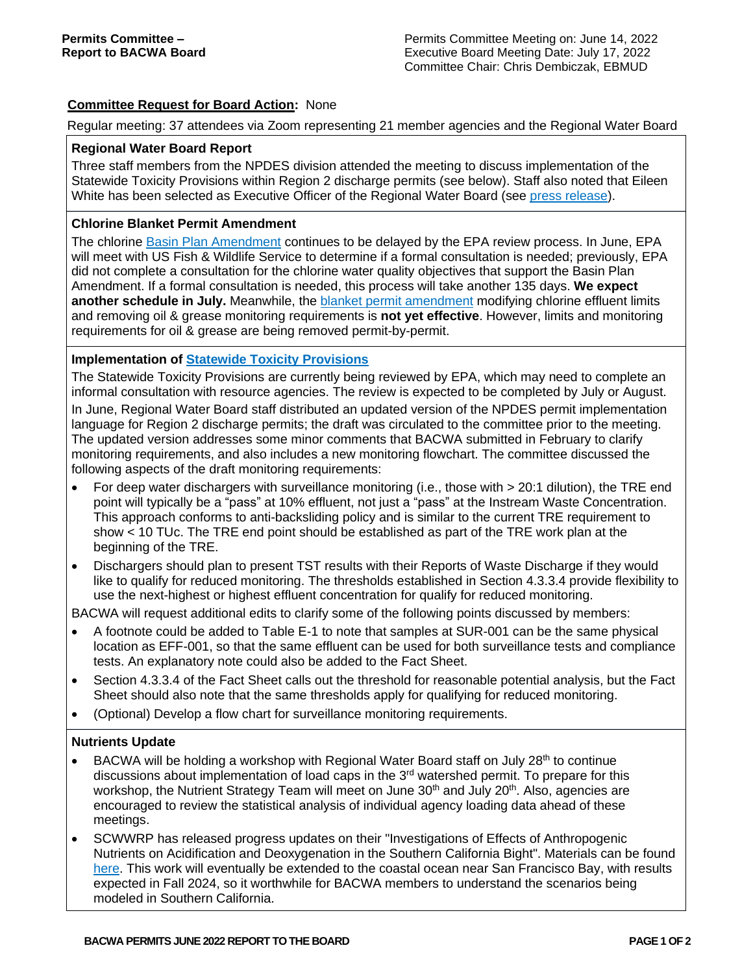# **Committee Request for Board Action:** None

Regular meeting: 37 attendees via Zoom representing 21 member agencies and the Regional Water Board

### **Regional Water Board Report**

Three staff members from the NPDES division attended the meeting to discuss implementation of the Statewide Toxicity Provisions within Region 2 discharge permits (see below). Staff also noted that Eileen White has been selected as Executive Officer of the Regional Water Board (see press [release\)](https://www.waterboards.ca.gov/press_room/press_releases/2022/pr05202022-executive-officer.pdf).

### **Chlorine Blanket Permit Amendment**

The chlorine Basin Plan [Amendment](https://www.waterboards.ca.gov/sanfranciscobay/water_issues/programs/planningtmdls/amendments/chlorinebpa/2_Chlorine_Resolution_R2-2020-0031.pdf) continues to be delayed by the EPA review process. In June, EPA will meet with US Fish & Wildlife Service to determine if a formal consultation is needed; previously, EPA did not complete a consultation for the chlorine water quality objectives that support the Basin Plan Amendment. If a formal consultation is needed, this process will take another 135 days. **We expect another schedule in July.** Meanwhile, the blanket permit [amendment](https://www.waterboards.ca.gov/sanfranciscobay/board_decisions/adopted_orders/2021/R2-2021-0019.pdf) modifying chlorine effluent limits and removing oil & grease monitoring requirements is **not yet effective**. However, limits and monitoring requirements for oil & grease are being removed permit-by-permit.

## **Implementation of Statewide Toxicity [Provisions](https://www.waterboards.ca.gov/water_issues/programs/state_implementation_policy/tx_ass_cntrl.html)**

The Statewide Toxicity Provisions are currently being reviewed by EPA, which may need to complete an informal consultation with resource agencies. The review is expected to be completed by July or August. In June, Regional Water Board staff distributed an updated version of the NPDES permit implementation language for Region 2 discharge permits; the draft was circulated to the committee prior to the meeting. The updated version addresses some minor comments that BACWA submitted in February to clarify monitoring requirements, and also includes a new monitoring flowchart. The committee discussed the following aspects of the draft monitoring requirements:

- For deep water dischargers with surveillance monitoring (i.e., those with > 20:1 dilution), the TRE end point will typically be a "pass" at 10% effluent, not just a "pass" at the Instream Waste Concentration. This approach conforms to anti-backsliding policy and is similar to the current TRE requirement to show < 10 TUc. The TRE end point should be established as part of the TRE work plan at the beginning of the TRE.
- Dischargers should plan to present TST results with their Reports of Waste Discharge if they would like to qualify for reduced monitoring. The thresholds established in Section 4.3.3.4 provide flexibility to use the next-highest or highest effluent concentration for qualify for reduced monitoring.

BACWA will request additional edits to clarify some of the following points discussed by members:

- A footnote could be added to Table E-1 to note that samples at SUR-001 can be the same physical location as EFF-001, so that the same effluent can be used for both surveillance tests and compliance tests. An explanatory note could also be added to the Fact Sheet.
- Section 4.3.3.4 of the Fact Sheet calls out the threshold for reasonable potential analysis, but the Fact Sheet should also note that the same thresholds apply for qualifying for reduced monitoring.
- (Optional) Develop a flow chart for surveillance monitoring requirements.

#### **Nutrients Update**

- BACWA will be holding a workshop with Regional Water Board staff on July 28<sup>th</sup> to continue discussions about implementation of load caps in the 3<sup>rd</sup> watershed permit. To prepare for this workshop, the Nutrient Strategy Team will meet on June 30<sup>th</sup> and July 20<sup>th</sup>. Also, agencies are encouraged to review the statistical analysis of individual agency loading data ahead of these meetings.
- SCWWRP has released progress updates on their "Investigations of Effects of Anthropogenic Nutrients on Acidification and Deoxygenation in the Southern California Bight". Materials can be found [here.](https://drive.google.com/drive/folders/12bJLVvBnOf_L6nOE_kgUKDUessb2vsDE) This work will eventually be extended to the coastal ocean near San Francisco Bay, with results expected in Fall 2024, so it worthwhile for BACWA members to understand the scenarios being modeled in Southern California.